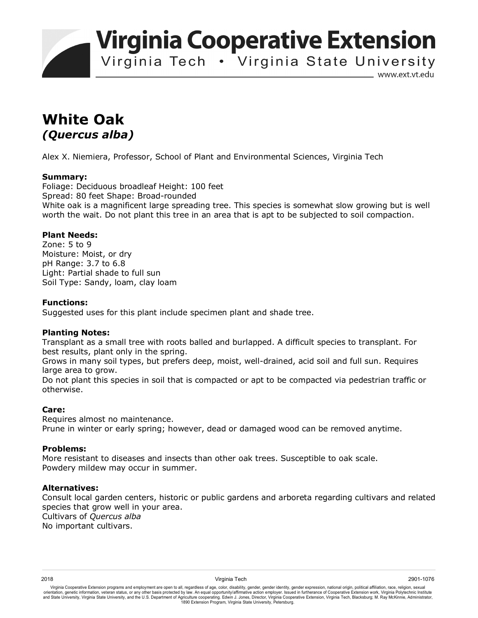**Virginia Cooperative Extension** 

Virginia Tech . Virginia State University

www.ext.vt.edu

# **White Oak**  *(Quercus alba)*

Alex X. Niemiera, Professor, School of Plant and Environmental Sciences, Virginia Tech

#### **Summary:**

Foliage: Deciduous broadleaf Height: 100 feet Spread: 80 feet Shape: Broad-rounded White oak is a magnificent large spreading tree. This species is somewhat slow growing but is well worth the wait. Do not plant this tree in an area that is apt to be subjected to soil compaction.

## **Plant Needs:**

Zone: 5 to 9 Moisture: Moist, or dry pH Range: 3.7 to 6.8 Light: Partial shade to full sun Soil Type: Sandy, loam, clay loam

### **Functions:**

Suggested uses for this plant include specimen plant and shade tree.

#### **Planting Notes:**

Transplant as a small tree with roots balled and burlapped. A difficult species to transplant. For best results, plant only in the spring.

Grows in many soil types, but prefers deep, moist, well-drained, acid soil and full sun. Requires large area to grow.

Do not plant this species in soil that is compacted or apt to be compacted via pedestrian traffic or otherwise.

## **Care:**

Requires almost no maintenance. Prune in winter or early spring; however, dead or damaged wood can be removed anytime.

#### **Problems:**

More resistant to diseases and insects than other oak trees. Susceptible to oak scale. Powdery mildew may occur in summer.

#### **Alternatives:**

Consult local garden centers, historic or public gardens and arboreta regarding cultivars and related species that grow well in your area. Cultivars of *Quercus alba* No important cultivars.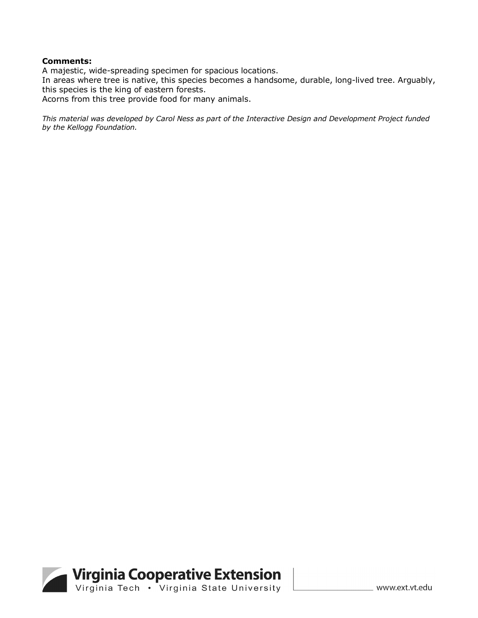#### **Comments:**

A majestic, wide-spreading specimen for spacious locations.

In areas where tree is native, this species becomes a handsome, durable, long-lived tree. Arguably, this species is the king of eastern forests.

Acorns from this tree provide food for many animals.

*This material was developed by Carol Ness as part of the Interactive Design and Development Project funded by the Kellogg Foundation.*